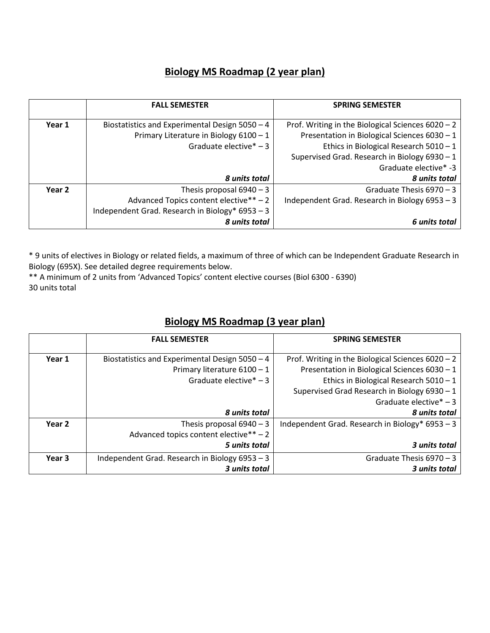## **Biology MS Roadmap (2 year plan)**

|        | <b>FALL SEMESTER</b>                            | <b>SPRING SEMESTER</b>                              |
|--------|-------------------------------------------------|-----------------------------------------------------|
| Year 1 | Biostatistics and Experimental Design 5050 - 4  | Prof. Writing in the Biological Sciences $6020 - 2$ |
|        | Primary Literature in Biology 6100 - 1          | Presentation in Biological Sciences $6030 - 1$      |
|        | Graduate elective $* - 3$                       | Ethics in Biological Research $5010 - 1$            |
|        |                                                 | Supervised Grad. Research in Biology 6930 - 1       |
|        |                                                 | Graduate elective* -3                               |
|        | 8 units total                                   | 8 units total                                       |
| Year 2 | Thesis proposal $6940 - 3$                      | Graduate Thesis $6970 - 3$                          |
|        | Advanced Topics content elective** - 2          | Independent Grad. Research in Biology 6953 - 3      |
|        | Independent Grad. Research in Biology* 6953 - 3 |                                                     |
|        | 8 units total                                   | 6 units total                                       |

\* 9 units of electives in Biology or related fields, a maximum of three of which can be Independent Graduate Research in Biology (695X). See detailed degree requirements below.

\*\* A minimum of 2 units from 'Advanced Topics' content elective courses (Biol 6300 - 6390) 30 units total

## **Biology MS Roadmap (3 year plan)**

|        | <b>FALL SEMESTER</b>                           | <b>SPRING SEMESTER</b>                              |
|--------|------------------------------------------------|-----------------------------------------------------|
| Year 1 | Biostatistics and Experimental Design 5050 - 4 | Prof. Writing in the Biological Sciences $6020 - 2$ |
|        | Primary literature 6100 - 1                    | Presentation in Biological Sciences 6030 - 1        |
|        | Graduate elective $* - 3$                      | Ethics in Biological Research $5010 - 1$            |
|        |                                                | Supervised Grad Research in Biology 6930 - 1        |
|        |                                                | Graduate elective $* - 3$                           |
|        | 8 units total                                  | 8 units total                                       |
| Year 2 | Thesis proposal $6940 - 3$                     | Independent Grad. Research in Biology* $6953 - 3$   |
|        | Advanced topics content elective** - 2         |                                                     |
|        | 5 units total                                  | 3 units total                                       |
| Year 3 | Independent Grad. Research in Biology 6953 - 3 | Graduate Thesis 6970 - 3                            |
|        | 3 units total                                  | 3 units total                                       |